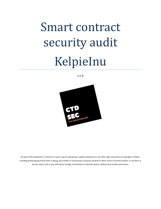# Smart contract security audit KelpieInu

v.1.0



No part of this publication, in whole or in part, may be reproduced, copied, transferred or any other right reserved to its copyright a CTDSec, including photocopying and all other copying, any transfer or transmission using any network or other means of communication, in any form or by any means such as any information storage, transmission or retrieval system, without prior written permission.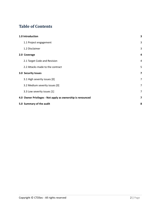## **Table of Contents**

| 1.0 Introduction                                           |                         |  |
|------------------------------------------------------------|-------------------------|--|
| 1.1 Project engagement                                     | 3                       |  |
| 1.2 Disclaimer                                             | 3                       |  |
| 2.0 Coverage                                               | 4                       |  |
| 2.1 Target Code and Revision                               | $\overline{4}$          |  |
| 2.2 Attacks made to the contract                           | 5                       |  |
| 3.0 Security Issues                                        | $\overline{7}$          |  |
| 3.1 High severity issues [0]                               | 7                       |  |
| 3.2 Medium severity issues [0]                             | 7                       |  |
| 3.3 Low severity issues [1]                                | 7                       |  |
| 4.0 Owner Privileges - Not apply as ownership is renounced | $\overline{\mathbf{z}}$ |  |
| 5.0 Summary of the audit                                   | 8                       |  |
|                                                            |                         |  |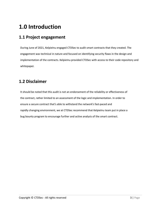## <span id="page-2-0"></span>**1.0 Introduction**

## <span id="page-2-1"></span>**1.1 Project engagement**

During June of 2021, KelpieInu engaged CTDSec to audit smart contracts that they created. The engagement was technical in nature and focused on identifying security flaws in the design and implementation of the contracts. KelpieInu provided CTDSec with access to their code repository and whitepaper.

## <span id="page-2-2"></span>**1.2 Disclaimer**

It should be noted that this audit is not an endorsement of the reliability or effectiveness of the contract, rather limited to an assessment of the logic and implementation. In order to ensure a secure contract that's able to withstand the network's fast-paced and rapidly changing environment, we at CTDSec recommend that KelpieInu team put in place a bug bounty program to encourage further and active analysis of the smart contract.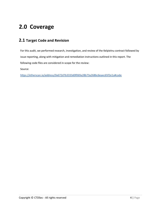## <span id="page-3-0"></span>**2.0 Coverage**

### <span id="page-3-1"></span>**2.1 Target Code and Revision**

For this audit, we performed research, investigation, and review of the KelpieInu contract followed by issue reporting, along with mitigation and remediation instructions outlined in this report. The following code files are considered in-scope for the review:

Source:

<https://etherscan.io/address/0x672d7b3333d0f069a28b73a268bc6eaec65f2e1a#code>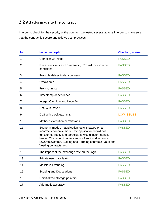## <span id="page-4-0"></span>**2.2 Attacks made to the contract**

In order to check for the security of the contract, we tested several attacks in order to make sure that the contract is secure and follows best practices.

| N <sub>o</sub> | <b>Issue description.</b>                                                                                                                                                                                                                                                                                                 | <b>Checking status</b> |
|----------------|---------------------------------------------------------------------------------------------------------------------------------------------------------------------------------------------------------------------------------------------------------------------------------------------------------------------------|------------------------|
|                |                                                                                                                                                                                                                                                                                                                           |                        |
| 1              | Compiler warnings.                                                                                                                                                                                                                                                                                                        | <b>PASSED</b>          |
| $\overline{2}$ | Race conditions and Reentrancy. Cross-function race<br>conditions.                                                                                                                                                                                                                                                        | <b>PASSED</b>          |
| 3              | Possible delays in data delivery.                                                                                                                                                                                                                                                                                         | <b>PASSED</b>          |
| 4              | Oracle calls.                                                                                                                                                                                                                                                                                                             | <b>PASSED</b>          |
| 5              | Front running.                                                                                                                                                                                                                                                                                                            | <b>PASSED</b>          |
| 6              | Timestamp dependence.                                                                                                                                                                                                                                                                                                     | <b>PASSED</b>          |
| $\overline{7}$ | Integer Overflow and Underflow.                                                                                                                                                                                                                                                                                           | <b>PASSED</b>          |
| 8              | DoS with Revert.                                                                                                                                                                                                                                                                                                          | <b>PASSED</b>          |
| 9              | DoS with block gas limit.                                                                                                                                                                                                                                                                                                 | <b>LOW ISSUES</b>      |
| 10             | Methods execution permissions.                                                                                                                                                                                                                                                                                            | <b>PASSED</b>          |
| 11             | Economy model. If application logic is based on an<br>incorrect economic model, the application would not<br>function correctly and participants would incur financial<br>losses. This type of issue is most often found in bonus<br>rewards systems, Staking and Farming contracts, Vault and<br>Vesting contracts, etc. | <b>PASSED</b>          |
| 12             | The impact of the exchange rate on the logic.                                                                                                                                                                                                                                                                             | <b>PASSED</b>          |
| 13             | Private user data leaks.                                                                                                                                                                                                                                                                                                  | <b>PASSED</b>          |
| 14             | Malicious Event log.                                                                                                                                                                                                                                                                                                      | <b>PASSED</b>          |
| 15             | Scoping and Declarations.                                                                                                                                                                                                                                                                                                 | <b>PASSED</b>          |
| 16             | Uninitialized storage pointers.                                                                                                                                                                                                                                                                                           | <b>PASSED</b>          |
| 17             | Arithmetic accuracy.                                                                                                                                                                                                                                                                                                      | <b>PASSED</b>          |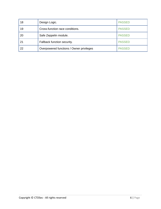| 18 | Design Logic.                            | <b>PASSED</b> |
|----|------------------------------------------|---------------|
| 19 | Cross-function race conditions.          | <b>PASSED</b> |
| 20 | Safe Zeppelin module.                    | <b>PASSED</b> |
| 21 | Fallback function security.              | <b>PASSED</b> |
| 22 | Overpowered functions / Owner privileges | <b>PASSED</b> |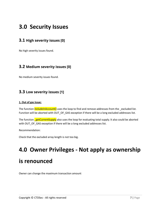## <span id="page-6-0"></span>**3.0 Security Issues**

#### <span id="page-6-1"></span>**3.1 High severity issues [0]**

No high severity issues found.

#### <span id="page-6-2"></span>**3.2 Medium severity issues [0]**

No medium severity issues found.

#### <span id="page-6-3"></span>**3.3 Low severity issues [1]**

#### **1. Out of gas Issue:**

The function includeInAccount() uses the loop to find and remove addresses from the excluded list. Function will be aborted with OUT\_OF\_GAS exception if there will be a long excluded addresses list.

The function **getCurrentSupply** also uses the loop for evaluating total supply. It also could be aborted with OUT\_OF\_GAS exception if there will be a long excluded addresses list.

Recommendation:

Check that the excluded array length is not too big.

## <span id="page-6-4"></span>**4.0 Owner Privileges - Not apply as ownership is renounced**

Owner can change the maximum transaction amount